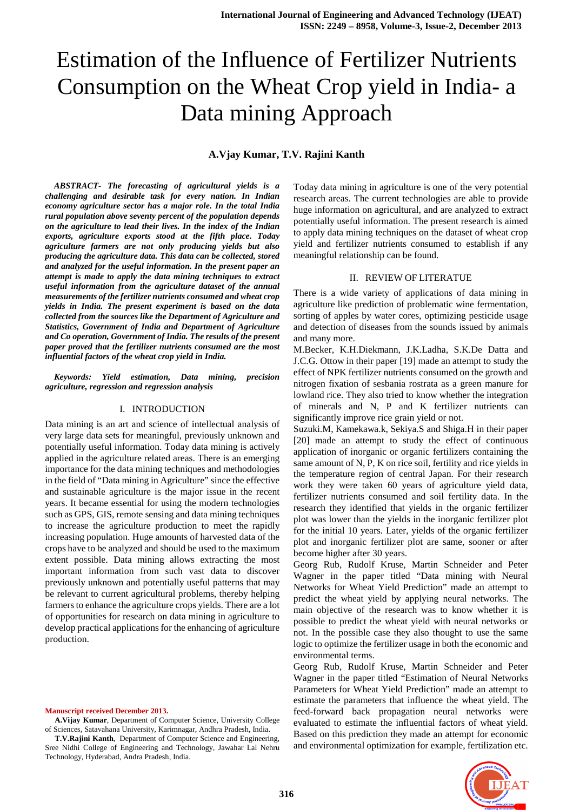# Estimation of the Influence of Fertilizer Nutrients Consumption on the Wheat Crop yield in India- a Data mining Approach

# **A.Vjay Kumar, T.V. Rajini Kanth**

*ABSTRACT- The forecasting of agricultural yields is a challenging and desirable task for every nation. In Indian economy agriculture sector has a major role. In the total India rural population above seventy percent of the population depends on the agriculture to lead their lives. In the index of the Indian exports, agriculture exports stood at the fifth place. Today agriculture farmers are not only producing yields but also producing the agriculture data. This data can be collected, stored and analyzed for the useful information. In the present paper an attempt is made to apply the data mining techniques to extract useful information from the agriculture dataset of the annual measurements of the fertilizer nutrients consumed and wheat crop yields in India. The present experiment is based on the data collected from the sources like the Department of Agriculture and Statistics, Government of India and Department of Agriculture and Co operation, Government of India. The results of the present paper proved that the fertilizer nutrients consumed are the most influential factors of the wheat crop yield in India.* 

*Keywords: Yield estimation, Data mining, precision agriculture, regression and regression analysis* 

#### I. INTRODUCTION

Data mining is an art and science of intellectual analysis of very large data sets for meaningful, previously unknown and potentially useful information. Today data mining is actively applied in the agriculture related areas. There is an emerging importance for the data mining techniques and methodologies in the field of "Data mining in Agriculture" since the effective and sustainable agriculture is the major issue in the recent years. It became essential for using the modern technologies such as GPS, GIS, remote sensing and data mining techniques to increase the agriculture production to meet the rapidly increasing population. Huge amounts of harvested data of the crops have to be analyzed and should be used to the maximum extent possible. Data mining allows extracting the most important information from such vast data to discover previously unknown and potentially useful patterns that may be relevant to current agricultural problems, thereby helping farmers to enhance the agriculture crops yields. There are a lot of opportunities for research on data mining in agriculture to develop practical applications for the enhancing of agriculture production.

**Manuscript received December 2013.**

**A.Vijay Kumar**, Department of Computer Science, University College of Sciences, Satavahana University, Karimnagar, Andhra Pradesh, India.

**T.V.Rajini Kanth**, Department of Computer Science and Engineering, Sree Nidhi College of Engineering and Technology, Jawahar Lal Nehru Technology, Hyderabad, Andra Pradesh, India.

Today data mining in agriculture is one of the very potential research areas. The current technologies are able to provide huge information on agricultural, and are analyzed to extract potentially useful information. The present research is aimed to apply data mining techniques on the dataset of wheat crop yield and fertilizer nutrients consumed to establish if any meaningful relationship can be found.

## II. REVIEW OF LITERATUE

There is a wide variety of applications of data mining in agriculture like prediction of problematic wine fermentation, sorting of apples by water cores, optimizing pesticide usage and detection of diseases from the sounds issued by animals and many more.

M.Becker, K.H.Diekmann, J.K.Ladha, S.K.De Datta and J.C.G. Ottow in their paper [19] made an attempt to study the effect of NPK fertilizer nutrients consumed on the growth and nitrogen fixation of sesbania rostrata as a green manure for lowland rice. They also tried to know whether the integration of minerals and N, P and K fertilizer nutrients can significantly improve rice grain yield or not.

Suzuki.M, Kamekawa.k, Sekiya.S and Shiga.H in their paper [20] made an attempt to study the effect of continuous application of inorganic or organic fertilizers containing the same amount of N, P, K on rice soil, fertility and rice yields in the temperature region of central Japan. For their research work they were taken 60 years of agriculture yield data, fertilizer nutrients consumed and soil fertility data. In the research they identified that yields in the organic fertilizer plot was lower than the yields in the inorganic fertilizer plot for the initial 10 years. Later, yields of the organic fertilizer plot and inorganic fertilizer plot are same, sooner or after become higher after 30 years.

Georg Rub, Rudolf Kruse, Martin Schneider and Peter Wagner in the paper titled "Data mining with Neural Networks for Wheat Yield Prediction" made an attempt to predict the wheat yield by applying neural networks. The main objective of the research was to know whether it is possible to predict the wheat yield with neural networks or not. In the possible case they also thought to use the same logic to optimize the fertilizer usage in both the economic and environmental terms.

Georg Rub, Rudolf Kruse, Martin Schneider and Peter Wagner in the paper titled "Estimation of Neural Networks Parameters for Wheat Yield Prediction" made an attempt to estimate the parameters that influence the wheat yield. The feed-forward back propagation neural networks were evaluated to estimate the influential factors of wheat yield. Based on this prediction they made an attempt for economic and environmental optimization for example, fertilization etc.

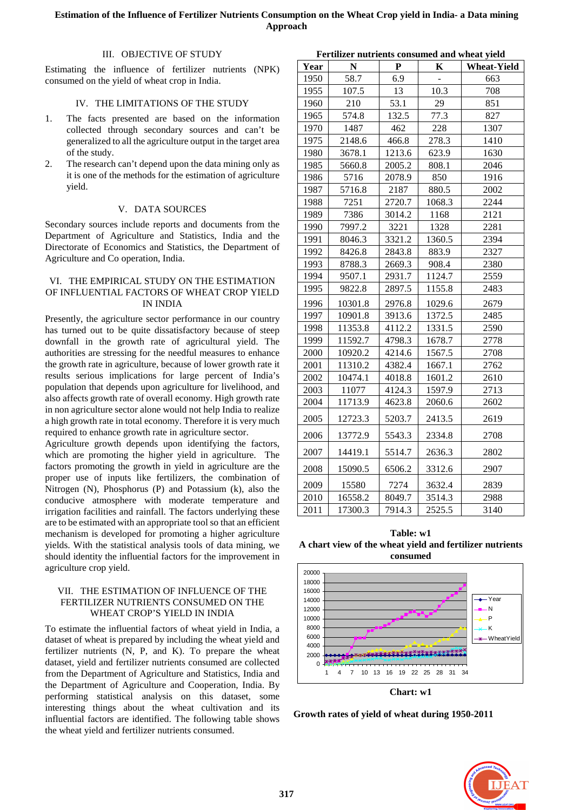# III. OBJECTIVE OF STUDY

Estimating the influence of fertilizer nutrients (NPK) consumed on the yield of wheat crop in India.

# IV. THE LIMITATIONS OF THE STUDY

- 1. The facts presented are based on the information collected through secondary sources and can't be generalized to all the agriculture output in the target area of the study.
- 2. The research can't depend upon the data mining only as it is one of the methods for the estimation of agriculture yield.

# V. DATA SOURCES

Secondary sources include reports and documents from the Department of Agriculture and Statistics, India and the Directorate of Economics and Statistics, the Department of Agriculture and Co operation, India.

# VI. THE EMPIRICAL STUDY ON THE ESTIMATION OF INFLUENTIAL FACTORS OF WHEAT CROP YIELD IN INDIA

Presently, the agriculture sector performance in our country has turned out to be quite dissatisfactory because of steep downfall in the growth rate of agricultural yield. The authorities are stressing for the needful measures to enhance the growth rate in agriculture, because of lower growth rate it results serious implications for large percent of India's population that depends upon agriculture for livelihood, and also affects growth rate of overall economy. High growth rate in non agriculture sector alone would not help India to realize a high growth rate in total economy. Therefore it is very much required to enhance growth rate in agriculture sector.

Agriculture growth depends upon identifying the factors, which are promoting the higher yield in agriculture. The factors promoting the growth in yield in agriculture are the proper use of inputs like fertilizers, the combination of Nitrogen (N), Phosphorus (P) and Potassium (k), also the conducive atmosphere with moderate temperature and irrigation facilities and rainfall. The factors underlying these are to be estimated with an appropriate tool so that an efficient mechanism is developed for promoting a higher agriculture yields. With the statistical analysis tools of data mining, we should identity the influential factors for the improvement in agriculture crop yield.

# VII. THE ESTIMATION OF INFLUENCE OF THE FERTILIZER NUTRIENTS CONSUMED ON THE WHEAT CROP'S YIELD IN INDIA

To estimate the influential factors of wheat yield in India, a dataset of wheat is prepared by including the wheat yield and fertilizer nutrients (N, P, and K). To prepare the wheat dataset, yield and fertilizer nutrients consumed are collected from the Department of Agriculture and Statistics, India and the Department of Agriculture and Cooperation, India. By performing statistical analysis on this dataset, some interesting things about the wheat cultivation and its influential factors are identified. The following table shows the wheat yield and fertilizer nutrients consumed.

|      | Fertilizer nutrients consumed and wheat yield |        |        |                    |  |  |  |
|------|-----------------------------------------------|--------|--------|--------------------|--|--|--|
| Year | ${\bf N}$                                     | P      | Κ      | <b>Wheat-Yield</b> |  |  |  |
| 1950 | 58.7                                          | 6.9    |        | 663                |  |  |  |
| 1955 | 107.5                                         | 13     | 10.3   | 708                |  |  |  |
| 1960 | 210                                           | 53.1   | 29     | 851                |  |  |  |
| 1965 | 574.8                                         | 132.5  | 77.3   | 827                |  |  |  |
| 1970 | 1487                                          | 462    | 228    | 1307               |  |  |  |
| 1975 | 2148.6                                        | 466.8  | 278.3  | 1410               |  |  |  |
| 1980 | 3678.1                                        | 1213.6 | 623.9  | 1630               |  |  |  |
| 1985 | 5660.8                                        | 2005.2 | 808.1  | 2046               |  |  |  |
| 1986 | 5716                                          | 2078.9 | 850    | 1916               |  |  |  |
| 1987 | 5716.8                                        | 2187   | 880.5  | 2002               |  |  |  |
| 1988 | 7251                                          | 2720.7 | 1068.3 | 2244               |  |  |  |
| 1989 | 7386                                          | 3014.2 | 1168   | 2121               |  |  |  |
| 1990 | 7997.2                                        | 3221   | 1328   | 2281               |  |  |  |
| 1991 | 8046.3                                        | 3321.2 | 1360.5 | 2394               |  |  |  |
| 1992 | 8426.8                                        | 2843.8 | 883.9  | 2327               |  |  |  |
| 1993 | 8788.3                                        | 2669.3 | 908.4  | 2380               |  |  |  |
| 1994 | 9507.1                                        | 2931.7 | 1124.7 | 2559               |  |  |  |
| 1995 | 9822.8                                        | 2897.5 | 1155.8 | 2483               |  |  |  |
| 1996 | 10301.8                                       | 2976.8 | 1029.6 | 2679               |  |  |  |
| 1997 | 10901.8                                       | 3913.6 | 1372.5 | 2485               |  |  |  |
| 1998 | 11353.8                                       | 4112.2 | 1331.5 | 2590               |  |  |  |
| 1999 | 11592.7                                       | 4798.3 | 1678.7 | 2778               |  |  |  |
| 2000 | 10920.2                                       | 4214.6 | 1567.5 | 2708               |  |  |  |
| 2001 | 11310.2                                       | 4382.4 | 1667.1 | 2762               |  |  |  |
| 2002 | 10474.1                                       | 4018.8 | 1601.2 | 2610               |  |  |  |
| 2003 | 11077                                         | 4124.3 | 1597.9 | 2713               |  |  |  |
| 2004 | 11713.9                                       | 4623.8 | 2060.6 | 2602               |  |  |  |
| 2005 | 12723.3                                       | 5203.7 | 2413.5 | 2619               |  |  |  |
| 2006 | 13772.9                                       | 5543.3 | 2334.8 | 2708               |  |  |  |
| 2007 | 14419.1                                       | 5514.7 | 2636.3 | 2802               |  |  |  |
| 2008 | 15090.5                                       | 6506.2 | 3312.6 | 2907               |  |  |  |
| 2009 | 15580                                         | 7274   | 3632.4 | 2839               |  |  |  |
| 2010 | 16558.2                                       | 8049.7 | 3514.3 | 2988               |  |  |  |
| 2011 | 17300.3                                       | 7914.3 | 2525.5 | 3140               |  |  |  |

**Table: w1 A chart view of the wheat yield and fertilizer nutrients consumed** 



**Chart: w1** 

**Growth rates of yield of wheat during 1950-2011** 

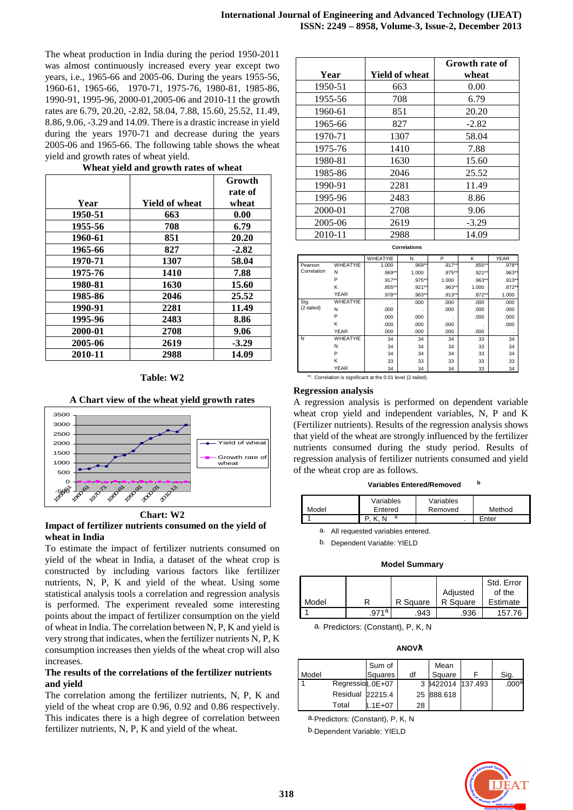The wheat production in India during the period 1950-2011 was almost continuously increased every year except two years, i.e., 1965-66 and 2005-06. During the years 1955-56, 1960-61, 1965-66, 1970-71, 1975-76, 1980-81, 1985-86, 1990-91, 1995-96, 2000-01,2005-06 and 2010-11 the growth rates are 6.79, 20.20, -2.82, 58.04, 7.88, 15.60, 25.52, 11.49, 8.86, 9.06, -3.29 and 14.09. There is a drastic increase in yield during the years 1970-71 and decrease during the years 2005-06 and 1965-66. The following table shows the wheat yield and growth rates of wheat yield.

|         |                | Growth  |
|---------|----------------|---------|
|         |                | rate of |
| Year    | Yield of wheat | wheat   |
| 1950-51 | 663            | 0.00    |
| 1955-56 | 708            | 6.79    |
| 1960-61 | 851            | 20.20   |
| 1965-66 | 827            | $-2.82$ |
| 1970-71 | 1307           | 58.04   |
| 1975-76 | 1410           | 7.88    |
| 1980-81 | 1630           | 15.60   |
| 1985-86 | 2046           | 25.52   |
| 1990-91 | 2281           | 11.49   |
| 1995-96 | 2483           | 8.86    |
| 2000-01 | 2708           | 9.06    |
| 2005-06 | 2619           | $-3.29$ |
| 2010-11 | 2988           | 14.09   |

#### **Wheat yield and growth rates of wheat**

## **Table: W2**





**Chart: W2** 

# **Impact of fertilizer nutrients consumed on the yield of wheat in India**

To estimate the impact of fertilizer nutrients consumed on yield of the wheat in India, a dataset of the wheat crop is constructed by including various factors like fertilizer nutrients, N, P, K and yield of the wheat. Using some statistical analysis tools a correlation and regression analysis is performed. The experiment revealed some interesting points about the impact of fertilizer consumption on the yield of wheat in India. The correlation between N, P, K and yield is very strong that indicates, when the fertilizer nutrients N, P, K consumption increases then yields of the wheat crop will also increases.

# **The results of the correlations of the fertilizer nutrients and yield**

The correlation among the fertilizer nutrients, N, P, K and yield of the wheat crop are 0.96, 0.92 and 0.86 respectively. This indicates there is a high degree of correlation between fertilizer nutrients, N, P, K and yield of the wheat.

| Year    | <b>Yield of wheat</b> | Growth rate of<br>wheat |
|---------|-----------------------|-------------------------|
| 1950-51 | 663                   | 0.00                    |
| 1955-56 | 708                   | 6.79                    |
| 1960-61 | 851                   | 20.20                   |
| 1965-66 | 827                   | $-2.82$                 |
| 1970-71 | 1307                  | 58.04                   |
| 1975-76 | 1410                  | 7.88                    |
| 1980-81 | 1630                  | 15.60                   |
| 1985-86 | 2046                  | 25.52                   |
| 1990-91 | 2281                  | 11.49                   |
| 1995-96 | 2483                  | 8.86                    |
| 2000-01 | 2708                  | 9.06                    |
| 2005-06 | 2619                  | $-3.29$                 |
| 2010-11 | 2988                  | 14.09                   |

**Correlations**

|             |                 | <b>WHEATYIE</b> | N      | P         | Κ        | <b>YEAR</b> |
|-------------|-----------------|-----------------|--------|-----------|----------|-------------|
| Pearson     | WHEATYIE        | 1.000           | .969** | .917**    | .855**   | .978*       |
| Correlation | N               | .969**          | 1.000  | .975**    | .921**   | .963*       |
|             | P               | .917**          | .975** | 1.000     | .963**   | $.913*$     |
|             | ĸ               | .855**          | .921** | .963**    | 1.000    | $.872*$     |
|             | <b>YEAR</b>     | .978**          | .963** | $.913***$ | $.872**$ | 1.000       |
| Sig.        | <b>WHEATYIE</b> |                 | .000   | .000      | .000     | .000        |
| (2-tailed)  | N               | .000            |        | .000      | .000     | .000        |
|             | P               | .000            | .000   |           | .000     | .000        |
|             | Κ               | .000            | .000   | .000      |          | .000        |
|             | <b>YEAR</b>     | .000            | .000   | .000      | .000     |             |
| N           | WHEATYIE        | 34              | 34     | 34        | 33       | 34          |
|             | N               | 34              | 34     | 34        | 33       | 34          |
|             | P               | 34              | 34     | 34        | 33       | 34          |
|             | ĸ               | 33              | 33     | 33        | 33       | 33          |
|             | <b>YEAR</b>     | 34              | 34     | 34        | 33       | 34          |

\*\*. Correlation is significant at the 0.01 level (2-tailed).

#### **Regression analysis**

A regression analysis is performed on dependent variable wheat crop yield and independent variables, N, P and K (Fertilizer nutrients). Results of the regression analysis shows that yield of the wheat are strongly influenced by the fertilizer nutrients consumed during the study period. Results of regression analysis of fertilizer nutrients consumed and yield of the wheat crop are as follows.

**Variables Entered/Removed <sup>b</sup>**

| Model | Variables<br>Entered | Variables<br>Removed | Method |
|-------|----------------------|----------------------|--------|
|       | a                    | ٠                    | Enter  |

a. All requested variables entered.

b. Dependent Variable: YIELD

#### **Model Summary**

|       |       |          |          | Std. Error |
|-------|-------|----------|----------|------------|
|       |       |          | Adjusted | of the     |
| Model |       | R Square | R Square | Estimate   |
|       | .971a | .943     | .936     | 157.76     |

a. Predictors: (Constant), P, K, N

**ANOVA<sup>b</sup>**

| Model |                  | Sum of<br>Squares | df | Mean<br>Square    | Sig.  |
|-------|------------------|-------------------|----|-------------------|-------|
|       | Regressiol 0E+07 |                   |    | 3 8422014 137.493 | .000a |
|       | Residual 22215.4 |                   |    | 25 888.618        |       |
|       | Total            | $.1E + 07$        | 28 |                   |       |

a. Predictors: (Constant), P, K, N

b. Dependent Variable: YIELD

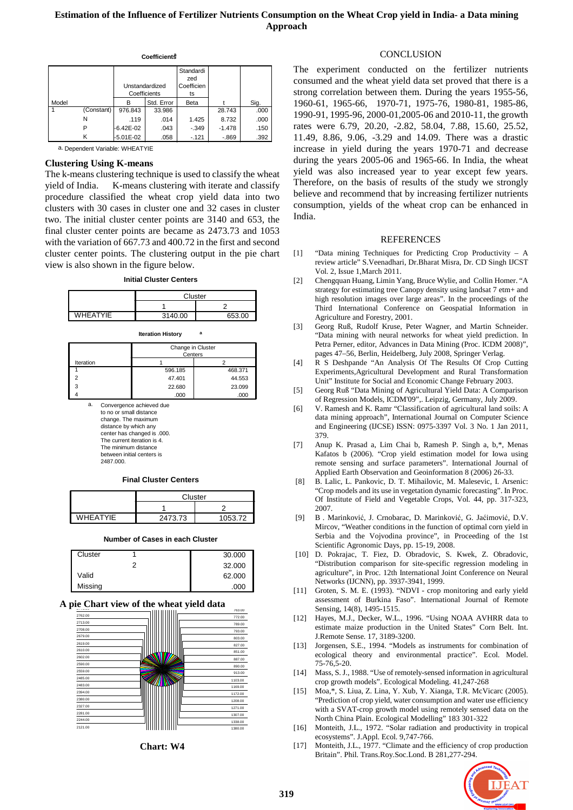|       |            |               | Unstandardized<br>Coefficients | Standardi<br>zed<br>Coefficien<br>ts |          |      |
|-------|------------|---------------|--------------------------------|--------------------------------------|----------|------|
| Model |            | в             | Std. Error                     | Beta                                 |          | Sig. |
|       | (Constant) | 976.843       | 33.986                         |                                      | 28.743   | .000 |
|       | N          | .119          | .014                           | 1.425                                | 8.732    | .000 |
|       | P          | $-6.42E - 02$ | .043                           | $-.349$                              | $-1.478$ | .150 |
|       | κ          | $-5.01E - 02$ | .058                           | $-.121$                              | $-0.869$ | .392 |

**Coefficients<sup>a</sup>**

# a. Dependent Variable: WHEATYIE

## **Clustering Using K-means**

The k-means clustering technique is used to classify the wheat yield of India. K-means clustering with iterate and classify procedure classified the wheat crop yield data into two clusters with 30 cases in cluster one and 32 cases in cluster two. The initial cluster center points are 3140 and 653, the final cluster center points are became as 2473.73 and 1053 with the variation of 667.73 and 400.72 in the first and second cluster center points. The clustering output in the pie chart view is also shown in the figure below.

**Initial Cluster Centers**

|                 | Cluster |        |  |  |
|-----------------|---------|--------|--|--|
|                 |         |        |  |  |
| <b>WHEATYIE</b> | 3140.00 | 653.00 |  |  |
|                 |         |        |  |  |

#### **Iteration History <sup>a</sup>**

|           |                                                                         | Change in Cluster<br>Centers                          |         |  |
|-----------|-------------------------------------------------------------------------|-------------------------------------------------------|---------|--|
| Iteration |                                                                         |                                                       |         |  |
|           |                                                                         | 596.185                                               | 468.371 |  |
|           |                                                                         | 47.401                                                | 44.553  |  |
| 3         |                                                                         | 22.680                                                | 23.099  |  |
|           |                                                                         | .000                                                  | .000    |  |
| a.        | to no or small distance<br>change. The maximum<br>distance by which any | Convergence achieved due<br>contar has changed is 000 |         |  |

center has changed is .000. The current iteration is 4. The minimum distance between initial centers is

## 2487.000.

#### **Final Cluster Centers**

|                 | Cluster |         |  |
|-----------------|---------|---------|--|
|                 |         |         |  |
| <b>WHFATYIF</b> | 2473.73 | 1053.72 |  |

#### **Number of Cases in each Cluster**

| Cluster |  | 30.000 |
|---------|--|--------|
|         |  | 32.000 |
| Valid   |  | 62.000 |
| Missing |  | .000   |

# A pie Chart view of the wheat yield data



**Chart: W4**

#### **CONCLUSION**

The experiment conducted on the fertilizer nutrients consumed and the wheat yield data set proved that there is a strong correlation between them. During the years 1955-56, 1960-61, 1965-66, 1970-71, 1975-76, 1980-81, 1985-86, 1990-91, 1995-96, 2000-01,2005-06 and 2010-11, the growth rates were 6.79, 20.20, -2.82, 58.04, 7.88, 15.60, 25.52, 11.49, 8.86, 9.06, -3.29 and 14.09. There was a drastic increase in yield during the years 1970-71 and decrease during the years 2005-06 and 1965-66. In India, the wheat yield was also increased year to year except few years. Therefore, on the basis of results of the study we strongly believe and recommend that by increasing fertilizer nutrients consumption, yields of the wheat crop can be enhanced in India.

#### REFERENCES

- [1] "Data mining Techniques for Predicting Crop Productivity A review article" S.Veenadhari, Dr.Bharat Misra, Dr. CD Singh IJCST Vol. 2, Issue 1,March 2011.
- [2] Chengquan Huang, Limin Yang, Bruce Wylie, and Collin Homer. "A strategy for estimating tree Canopy density using landsat 7 etm+ and high resolution images over large areas". In the proceedings of the Third International Conference on Geospatial Information in Agriculture and Forestry, 2001.
- [3] Georg Ruß, Rudolf Kruse, Peter Wagner, and Martin Schneider. "Data mining with neural networks for wheat yield prediction. In Petra Perner, editor, Advances in Data Mining (Proc. ICDM 2008)", pages 47–56, Berlin, Heidelberg, July 2008, Springer Verlag.
- [4] R S Deshpande "An Analysis Of The Results Of Crop Cutting Experiments,Agricultural Development and Rural Transformation Unit" Institute for Social and Economic Change February 2003.
- [5] Georg Ruß "Data Mining of Agricultural Yield Data: A Comparison of Regression Models, ICDM'09",. Leipzig, Germany, July 2009.
- [6] V. Ramesh and K. Ramr "Classification of agricultural land soils: A data mining approach", International Journal on Computer Science and Engineering (IJCSE) ISSN: 0975-3397 Vol. 3 No. 1 Jan 2011, 379.
- [7] Anup K. Prasad a, Lim Chai b, Ramesh P. Singh a, b,\*, Menas Kafatos b (2006). "Crop yield estimation model for Iowa using remote sensing and surface parameters". International Journal of Applied Earth Observation and Geoinformation 8 (2006) 26-33.
- [8] B. Lalic, L. Pankovic, D. T. Mihailovic, M. Malesevic, I. Arsenic: "Crop models and its use in vegetation dynamic forecasting". In Proc. Of Institute of Field and Vegetable Crops, Vol. 44, pp. 317-323, 2007.
- [9] B . Marinković, J. Crnobarac, D. Marinković, G. Jaćimović, D.V. Mircov, "Weather conditions in the function of optimal corn yield in Serbia and the Vojvodina province", in Proceeding of the 1st Scientific Agronomic Days, pp. 15-19, 2008.
- [10] D. Pokrajac, T. Fiez, D. Obradovic, S. Kwek, Z. Obradovic, "Distribution comparison for site-specific regression modeling in agriculture", in Proc. 12th International Joint Conference on Neural Networks (IJCNN), pp. 3937-3941, 1999.
- [11] Groten, S. M. E. (1993). "NDVI crop monitoring and early yield assessment of Burkina Faso". International Journal of Remote Sensing, 14(8), 1495-1515.
- [12] Hayes, M.J., Decker, W.L., 1996. "Using NOAA AVHRR data to estimate maize production in the United States" Corn Belt. Int. J.Remote Sense. 17, 3189-3200.
- [13] Jorgensen, S.E., 1994. "Models as instruments for combination of ecological theory and environmental practice". Ecol. Model. 75-76,5-20.
- [14] Mass, S. J., 1988. "Use of remotely-sensed information in agricultural crop growth models". Ecological Modeling. 41,247-268
- [15] Moa,\*, S. Liua, Z. Lina, Y. Xub, Y. Xianga, T.R. McVicarc (2005). "Prediction of crop yield, water consumption and water use efficiency with a SVAT-crop growth model using remotely sensed data on the North China Plain. Ecological Modelling" 183 301-322
- [16] Monteith, J.L., 1972. "Solar radiation and productivity in tropical ecosystems". J.Appl. Ecol. 9,747-766.
- [17] Monteith, J.L., 1977. "Climate and the efficiency of crop production Britain". Phil. Trans.Roy.Soc.Lond. B 281,277-294.